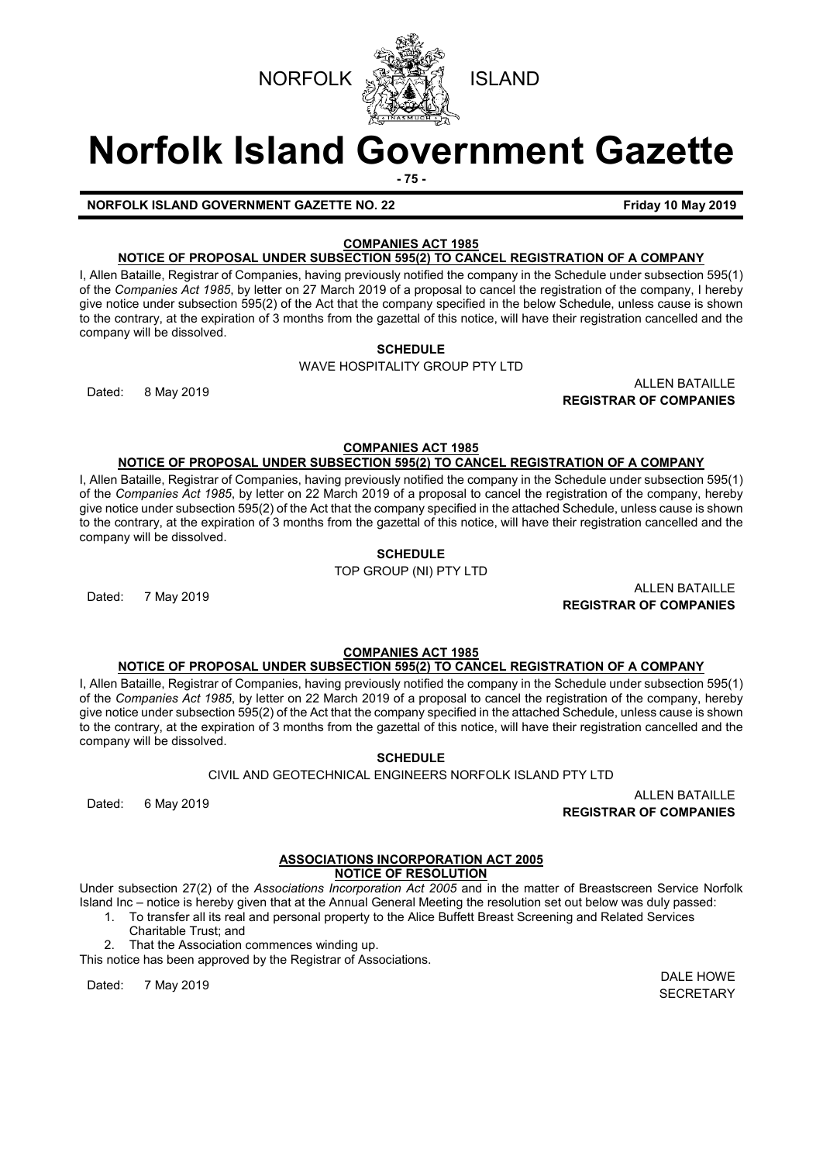

# **Norfolk Island Government Gazette**

**- 75 -**

**NORFOLK ISLAND GOVERNMENT GAZETTE NO. 22 Friday 10 May 2019**

# **COMPANIES ACT 1985**

**NOTICE OF PROPOSAL UNDER SUBSECTION 595(2) TO CANCEL REGISTRATION OF A COMPANY**

I, Allen Bataille, Registrar of Companies, having previously notified the company in the Schedule under subsection 595(1) of the *Companies Act 1985*, by letter on 27 March 2019 of a proposal to cancel the registration of the company, I hereby give notice under subsection 595(2) of the Act that the company specified in the below Schedule, unless cause is shown to the contrary, at the expiration of 3 months from the gazettal of this notice, will have their registration cancelled and the company will be dissolved.

# **SCHEDULE**

WAVE HOSPITALITY GROUP PTY LTD

Dated: 8 May 2019 ALLEN BATAILLE **REGISTRAR OF COMPANIES**

**COMPANIES ACT 1985**

# **NOTICE OF PROPOSAL UNDER SUBSECTION 595(2) TO CANCEL REGISTRATION OF A COMPANY**

I, Allen Bataille, Registrar of Companies, having previously notified the company in the Schedule under subsection 595(1) of the *Companies Act 1985*, by letter on 22 March 2019 of a proposal to cancel the registration of the company, hereby give notice under subsection 595(2) of the Act that the company specified in the attached Schedule, unless cause is shown to the contrary, at the expiration of 3 months from the gazettal of this notice, will have their registration cancelled and the company will be dissolved.

**SCHEDULE**

TOP GROUP (NI) PTY LTD

ALLEN BATAILLE<br>Dated: 7 May 2019 **ALLEN BATAILLE REGISTRAR OF COMPANIES**

#### **COMPANIES ACT 1985 NOTICE OF PROPOSAL UNDER SUBSECTION 595(2) TO CANCEL REGISTRATION OF A COMPANY**

I, Allen Bataille, Registrar of Companies, having previously notified the company in the Schedule under subsection 595(1) of the *Companies Act 1985*, by letter on 22 March 2019 of a proposal to cancel the registration of the company, hereby give notice under subsection 595(2) of the Act that the company specified in the attached Schedule, unless cause is shown to the contrary, at the expiration of 3 months from the gazettal of this notice, will have their registration cancelled and the company will be dissolved.

**SCHEDULE**

CIVIL AND GEOTECHNICAL ENGINEERS NORFOLK ISLAND PTY LTD

**REGISTRAR OF COMPANIES**

# **ASSOCIATIONS INCORPORATION ACT 2005**

# **NOTICE OF RESOLUTION**

Under subsection 27(2) of the *Associations Incorporation Act 2005* and in the matter of Breastscreen Service Norfolk Island Inc *–* notice is hereby given that at the Annual General Meeting the resolution set out below was duly passed:

1. To transfer all its real and personal property to the Alice Buffett Breast Screening and Related Services Charitable Trust; and

2. That the Association commences winding up.

This notice has been approved by the Registrar of Associations.

Dated: 7 May 2019 DALE HOWE

**SECRETARY** 

ALLEN BATAILLE<br>Dated: 6 May 2019 **ALLEN BATAILLE**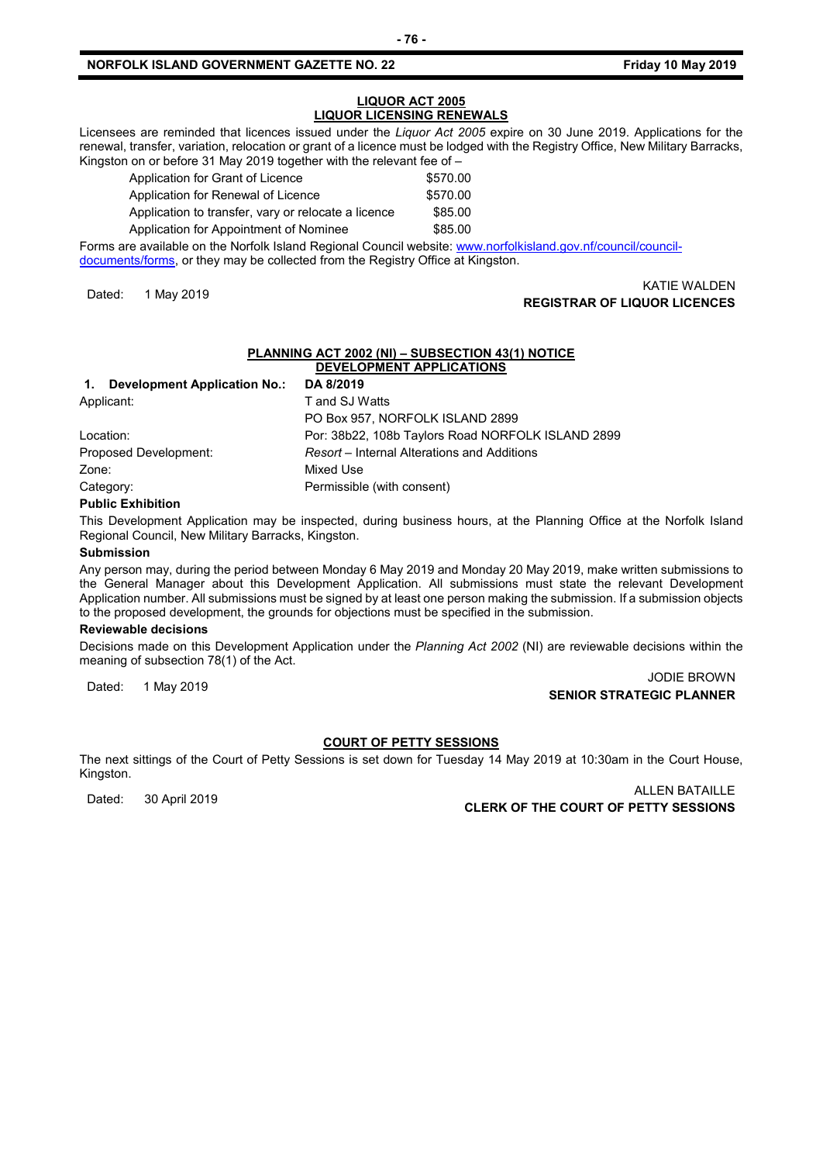## **NORFOLK ISLAND GOVERNMENT GAZETTE NO. 22 Friday 10 May 2019**

## **LIQUOR ACT 2005 LIQUOR LICENSING RENEWALS**

Licensees are reminded that licences issued under the *Liquor Act 2005* expire on 30 June 2019. Applications for the renewal, transfer, variation, relocation or grant of a licence must be lodged with the Registry Office, New Military Barracks, Kingston on or before 31 May 2019 together with the relevant fee of –

| Application for Grant of Licence                    | \$570.00 |
|-----------------------------------------------------|----------|
| Application for Renewal of Licence                  | \$570.00 |
| Application to transfer, vary or relocate a licence | \$85.00  |
| Application for Appointment of Nominee              | \$85.00  |

Forms are available on the Norfolk Island Regional Council website: [www.norfolkisland.gov.nf/council/council](http://www.norfolkisland.gov.nf/council/council-documents/forms)[documents/forms,](http://www.norfolkisland.gov.nf/council/council-documents/forms) or they may be collected from the Registry Office at Kingston.

# KATIE WALDEN<br>**REGISTRAR OF LIQUOR LICENCES** (Kata angle of the set of the set of the set of the set of the set of the set of t

# **PLANNING ACT 2002 (NI) – SUBSECTION 43(1) NOTICE DEVELOPMENT APPLICATIONS**

| <b>Development Application No.:</b><br>1. | DA 8/2019                                         |
|-------------------------------------------|---------------------------------------------------|
| Applicant:                                | T and SJ Watts                                    |
|                                           | PO Box 957, NORFOLK ISLAND 2899                   |
| Location:                                 | Por: 38b22, 108b Taylors Road NORFOLK ISLAND 2899 |
| Proposed Development:                     | Resort – Internal Alterations and Additions       |
| Zone:                                     | Mixed Use                                         |
| Category:                                 | Permissible (with consent)                        |
|                                           |                                                   |

#### **Public Exhibition**

This Development Application may be inspected, during business hours, at the Planning Office at the Norfolk Island Regional Council, New Military Barracks, Kingston.

#### **Submission**

Any person may, during the period between Monday 6 May 2019 and Monday 20 May 2019, make written submissions to the General Manager about this Development Application. All submissions must state the relevant Development Application number. All submissions must be signed by at least one person making the submission. If a submission objects to the proposed development, the grounds for objections must be specified in the submission.

# **Reviewable decisions**

Decisions made on this Development Application under the *Planning Act 2002* (NI) are reviewable decisions within the meaning of subsection 78(1) of the Act.

Dated: 1 May 2019 JODIE BROWN **SENIOR STRATEGIC PLANNER**

# **COURT OF PETTY SESSIONS**

The next sittings of the Court of Petty Sessions is set down for Tuesday 14 May 2019 at 10:30am in the Court House, Kingston.

ALLEN BATAILLE<br>CLERK OF THE COURT OF PETTY SESSIONS CLERK OF THE COURT OF PETTY SESSIONS